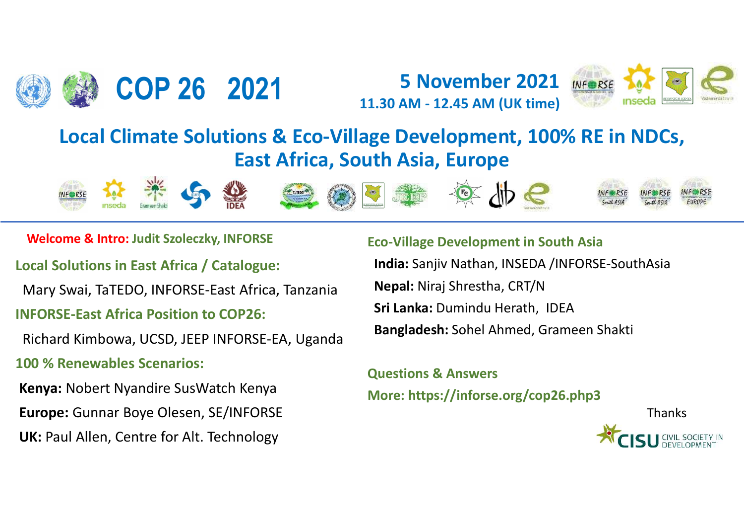





# Local Climate Solutions & Eco-Village Development East Africa, South Asia, Europent East Africa, South Asia, Europent East Africa, South Asia, Europent East Africa, South Asia, Europent Eco-Village Development Eco-Village INFORSE-East Africa Position to COP26:<br>
Read Reco-Village Deve<br>
East Africa, South Asia<br>
Welcome & Intro: Judit Szoleczky, INFORSE<br>
Local Solutions in East Africa / Catalogue: India: Sanj<br>
Mary Swai, TaTEDO, INFORSE-East A East Africa, South Asia<br>
Welcome & Intro: Judit Szoleczky, INFORSE<br>
Local Solutions in East Africa / Catalogue: India: Sai<br>
Mary Swai, TaTEDO, INFORSE-East Africa, Tanzania Nepal: N<br>
INFORSE-East Africa Position to COP26: COP 26 2021 5 November 2021 Weeks AV 2021<br>
Local Climate Solutions & Eco-Village Development, 100% RE in NDCs,<br>
East Africa, South Asia, Europe East Africa, South Asia, Europe **COP 26 2021** 5 November 2021 WEBSE 11.30 AM - 12.45 AM (UK time)<br>Climate Solutions & Eco-Village Development, 100% RE in NDCs,<br>East Africa, South Asia, Europe Note that the Solutions & Eco-Village D<br>
Local Climate Solutions & Eco-Village D<br>
East Africa, South A<br>
Welcome & Intro: Judit Szoleczky, INFORSE<br>
Cal Solutions in East Africa / Catalogue: India:<br>
Mary Swai, TaTEDO, INFORS















Mary Swai, TaTEDO, INFORSE-East Africa, Tanzania **Nepal:** Niraj Shrestha, CRT/N

Richard Kimbowa, UCSD, JEEP INFORSE-EA, Uganda

Welcome & Intro: Judit Szoleczky, INFORSE<br>
Co-Village Development in<br>
Co-Village Development in<br>
Co-Village Development in<br>
Co-Village Development in<br>
Co-Village Development in<br>
Co-Village Development in<br>
Co-Village Develo Europe: Gunnar Boye Olesen, SE/INFORSE

UK: Paul Allen, Centre for Alt. Technology

**Example 2021**<br> **Example 2021**<br> **Example 2021**<br> **Example 2021**<br> **Example 2021**<br> **Example 2021**<br> **Example 2021**<br> **Example 2021**<br> **Example 2021**<br> **Example 2021**<br> **Example 2021**<br> **Example 2021**<br> **Example 2021**<br>
<br> **Example 20** India: Sanjiv Nathan, INSEDA /INFORSE-SouthAsia  $1.30 \text{ AM} - 12.45 \text{ AM (UK time)}$ <br>  $1.30 \text{ AM} - 12.45 \text{ AM (UK time)}$ <br>  $1.30 \text{ AM} - 12.45 \text{ AM (UK time)}$ <br>  $1.30 \text{ AM} - 12.45 \text{ AM (UK time)}$ <br>  $1.30 \text{ AM} - 12.45 \text{ AM (UK time)}$ <br>  $1.30 \text{ AM} - 12.45 \text{ AM (UK time)}$ <br>  $1.30 \text{ AM} - 12.45 \text{ AM (UK time)}$ <br>  $1.30 \text{ AM} - 12.45 \text{ AM (UK time)}$ **Example 19 and September 19 and September 19 and September 20 and September 20 and September 20 and September 20 and September 20 and September 20 and September 20 and September 20 and September 20 and September 20 and Se** 

Sri Lanka: Dumindu Herath, IDEA

Bangladesh: Sohel Ahmed, Grameen Shakti

More: https://inforse.org/cop26.php3

Thanks

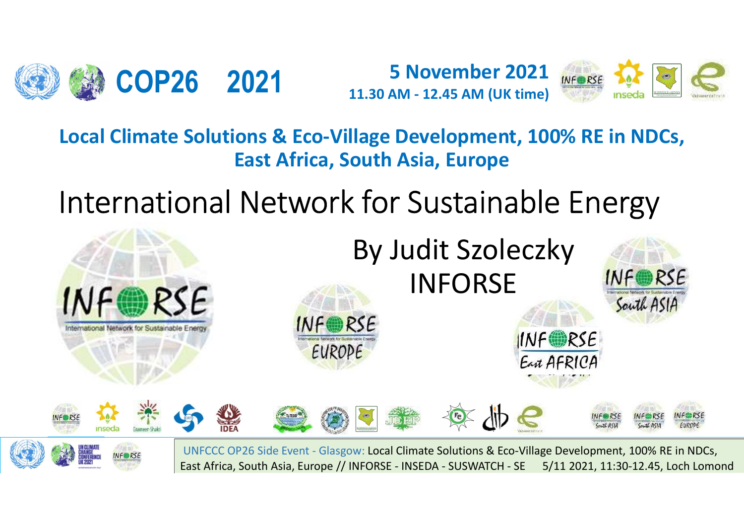



COP26 2021 5 November 2021 Mease 12 2021 COP26 2021<br>
Local Climate Solutions & Eco-Village Development, 100% RE in NDCs,<br>
East Africa, South Asia, Europe<br>
Lotal Climate Solutions & Eco-Village Development, 100% RE in NDCs,<br>
Lotal Climate Solutions & Eco-Village D East Africa, South Asia, Europe



East Africa, South Asia, Europe // INFORSE - INSEDA - SUSWATCH - SE 5/11 2021, 11:30-12.45, Loch Lomond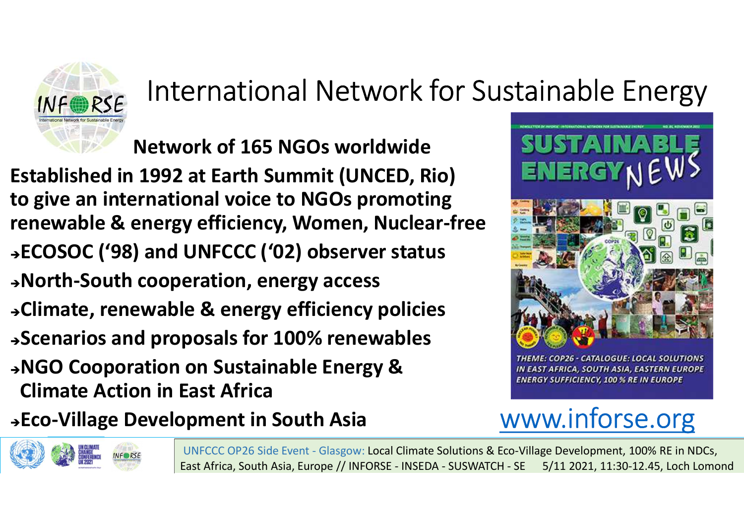# International Network for Sustainable Energy<br>
Network of 165 NGOs worldwide

International Network for Sustainable<br>
Network of 165 NGOs worldwide<br>
1992 at Earth Summit (UNCED, Rio)<br>
Prinational voice to NGOs promoting INE REAL International Network for Sustainable I<br>
Network of 165 NGOs worldwide<br>
Established in 1992 at Earth Summit (UNCED, Rio)<br>
to give an international voice to NGOs promoting<br>
renewable & energy efficiency, Women, Nuc **THE SET EXECT INTERNATION CONTROLLER SUSTAINST AND METALLY SUSTAINS AND METALLY CONSUMING A SUSTAINS AND REALLY AND REALLY AND REALLY AND REALLY AND REALLY AND REALLY AND REALLY AND REALLY AND REALLY AND REALLY AND REALL THE WARKER INTERNATION IN EXERCISE AND METALLY IN A Network of 165 NGOs worldwide**<br> **Established in 1992 at Earth Summit (UNCED, Rio)**<br> **ENERGY**<br> **ENERGY**<br> **ENERGY**<br> **ENERGY**<br> **ENERGY**<br> **ENERGY**<br> **ENERGY**<br> **ENERGY**<br> **ENE** ECOSOC ('98) and UNFCCC ('02) observer status International Network for Sustainable<br>
Network of 165 NGOs worldwide<br>
Established in 1992 at Earth Summit (UNCED, Rio)<br>
to give an international voice to NGOs promoting<br>
renewable & energy efficiency, Women, Nuclear-free<br> THETTITUCH INCORED, RIOT SUSTAINAENEES NEWSTAND RESEARCH METALL INCONSERVENT CHANGE ESTATING ENERGY NET<br>
Let give an international voice to NGOs promoting<br>
renewable & energy efficiency, Women, Nuclear-free<br>
PRECOSOC ('98 Network of 165 NGOs worldwide<br>
Established in 1992 at Earth Summit (UNCED, Rio)<br>
to give an international voice to NGOs promoting<br>
renewable & energy efficiency, Women, Nuclear-free<br>
>ECOSOC ('98) and UNFCCC ('02) observer Established in 1992 at Earth Summit (UNCED, Rio)<br>
to give an international voice to NGOs promoting<br>
PECOSOC ('98) and UNFCCC ('02) observer status<br>
>North-South cooperation, energy access<br>
>Climate, renewable & energy effi Stablished in 1992 at Earth Summit (UNCEL<br>
o give an international voice to NGOs prom<br>
enewable & energy efficiency, Women, Nuc<br>
ECOSOC ('98) and UNFCCC ('02) observer st<br>
North-South cooperation, energy access<br>
Climate, r Example 8 energy efficiency, Women, Nuclear-free<br>
FROSOC ('98) and UNFCCC ('02) observer status<br>
FROSOC ('98) and UNFCCC ('02) observer status<br>
FROSOC ('98) and UNFCCC ('02) observer status<br>
FROSOC ('98) and UNFCCC ('02) o UNFCCC ('02) observer status<br>eration, energy access<br>e & energy efficiency policies<br>posals for 100% renewables<br>considerations and the status of the status of the status of the status of the status of the status of the statu





East Africa, South Asia, Europe // INFORSE - INSEDA - SUSWATCH - SE 5/11 2021, 11:30-12.45, Loch Lomond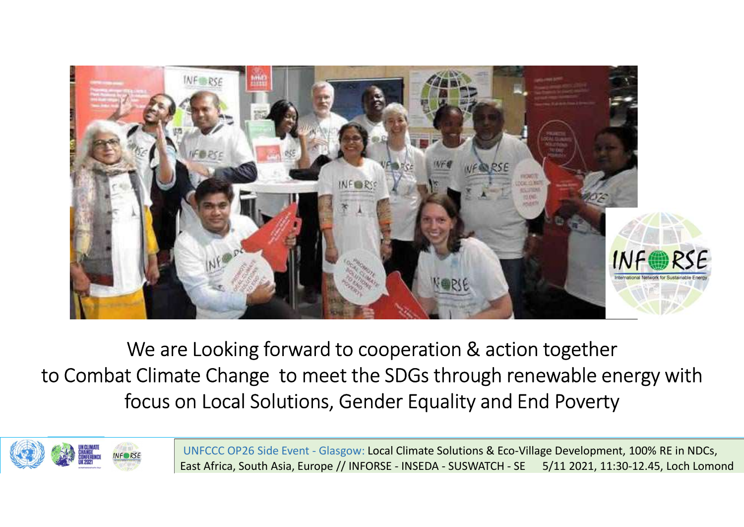



East Africa, South Asia, Europe // INFORSE - INSEDA - SUSWATCH - SE 5/11 2021, 11:30-12.45, Loch Lomond